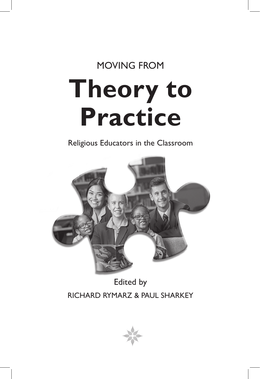## MOVING FROM

# **Theory to Practice**

Religious Educators in the Classroom



## Edited by RICHARD RYMARZ & PAUL SHARKEY

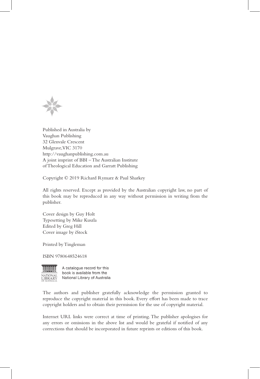

Published in Australia by Vaughan Publishing 32 Glenvale Crescent Mulgrave, VIC 3170 http://vaughanpublishing.com.au A joint imprint of BBI – The Australian Institute of Theological Education and Garratt Publishing

Copyright © 2019 Richard Rymarz & Paul Sharkey

All rights reserved. Except as provided by the Australian copyright law, no part of this book may be reproduced in any way without permission in writing from the publisher.

Cover design by Guy Holt Typesetting by Mike Kuszla Edited by Greg Hill Cover image by iStock

Printed by Tingleman

ISBN 9780648524618



A catalogue record for this book is available from the National Library of Australia

The authors and publisher gratefully acknowledge the permission granted to reproduce the copyright material in this book. Every effort has been made to trace copyright holders and to obtain their permission for the use of copyright material.

Internet URL links were correct at time of printing. The publisher apologises for any errors or omissions in the above list and would be grateful if notified of any corrections that should be incorporated in future reprints or editions of this book.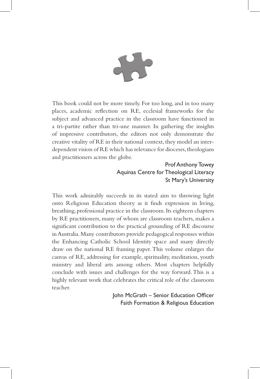

This book could not be more timely. For too long, and in too many places, academic reflection on RE, ecclesial frameworks for the subject and advanced practice in the classroom have functioned in a tri-partite rather than tri-une manner. In gathering the insights of impressive contributors, the editors not only demonstrate the creative vitality of RE in their national context, they model an interdependent vision of RE which has relevance for dioceses, theologians and practitioners across the globe.

### Prof Anthony Towey Aquinas Centre for Theological Literacy St Mary's University

This work admirably succeeds in its stated aim to throwing light onto Religious Education theory as it finds expression in living, breathing, professional practice in the classroom. Its eighteen chapters by RE practitioners, many of whom are classroom teachers, makes a significant contribution to the practical grounding of RE discourse in Australia. Many contributors provide pedagogical responses within the Enhancing Catholic School Identity space and many directly draw on the national RE framing paper. This volume enlarges the canvas of RE, addressing for example, spirituality, meditation, youth ministry and liberal arts among others. Most chapters helpfully conclude with issues and challenges for the way forward. This is a highly relevant work that celebrates the critical role of the classroom teacher.

> John McGrath – Senior Education Officer Faith Formation & Religious Education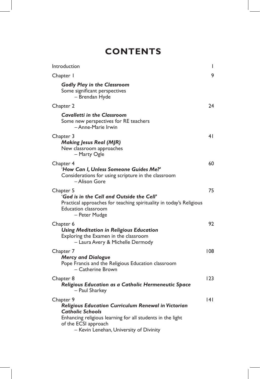## **CONTENTS**

| Introduction                                                                                                                                                                                                                 | I              |
|------------------------------------------------------------------------------------------------------------------------------------------------------------------------------------------------------------------------------|----------------|
| Chapter I                                                                                                                                                                                                                    | 9              |
| <b>Godly Play in the Classroom</b><br>Some significant perspectives<br>- Brendan Hyde                                                                                                                                        |                |
| Chapter 2                                                                                                                                                                                                                    | 24             |
| <b>Cavalletti in the Classroom</b><br>Some new perspectives for RE teachers<br>- Anne-Marie Irwin                                                                                                                            |                |
| Chapter 3<br><b>Making Jesus Real (MJR)</b><br>New classroom approaches<br>- Marty Ogle                                                                                                                                      | 4 <sub>1</sub> |
| Chapter 4<br>'How Can I, Unless Someone Guides Me?'<br>Considerations for using scripture in the classroom<br>-Alison Gore                                                                                                   | 60             |
| Chapter 5<br>'God is in the Cell and Outside the Cell'<br>Practical approaches for teaching spirituality in today's Religious<br><b>Education classroom</b><br>- Peter Mudge                                                 | 75             |
| Chapter 6<br><b>Using Meditation in Religious Education</b><br>Exploring the Examen in the classroom<br>- Laura Avery & Michelle Dermody                                                                                     | 92             |
| Chapter 7<br><b>Mercy and Dialogue</b><br>Pope Francis and the Religious Education classroom<br>- Catherine Brown                                                                                                            | 108            |
| Chapter 8<br>Religious Education as a Catholic Hermeneutic Space<br>- Paul Sharkey                                                                                                                                           | 123            |
| Chapter 9<br>Religious Education Curriculum Renewal in Victorian<br><b>Catholic Schools</b><br>Enhancing religious learning for all students in the light<br>of the ECSI approach<br>- Kevin Lenehan, University of Divinity | 141            |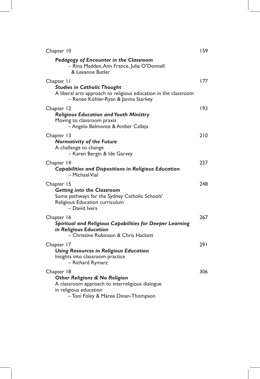| Chapter 10                                                                                                                                                     | 159 |
|----------------------------------------------------------------------------------------------------------------------------------------------------------------|-----|
| Pedagogy of Encounter in the Classroom<br>- Rina Madden, Ann France, Julie O'Donnell<br>& Leeanne Butler                                                       |     |
| Chapter 11<br><b>Studies in Catholic Thought</b><br>A liberal arts approach to religious education in the classroom<br>- Renée Köhler-Ryan & Janina Starkey    | 177 |
| Chapter 12<br><b>Religious Education and Youth Ministry</b><br>Moving to classroom praxis<br>- Angelo Belmonte & Amber Calleja                                 | 193 |
| Chapter 13<br><b>Normativity of the Future</b><br>A challenge to change<br>- Karen Bergin & Ide Garvey                                                         | 210 |
| Chapter 14<br><b>Capabilities and Dispositions in Religious Education</b><br>- Michael Vial                                                                    | 227 |
| Chapter 15<br><b>Getting into the Classroom</b><br>Some pathways for the Sydney Catholic Schools'<br>Religious Education curriculum<br>- David Ivers           | 248 |
| Chapter 16<br>Spiritual and Religious Capabilities for Deeper Learning<br>in Religious Education<br>- Christine Robinson & Chris Hackett                       | 267 |
| Chapter 17<br><b>Using Resources in Religious Education</b><br>Insights into classroom practice<br>- Richard Rymarz                                            | 291 |
| Chapter 18<br>Other Religions & No Religion<br>A classroom approach to interreligious dialogue<br>in religious education<br>-Toni Foley & Maree Dinan-Thompson | 306 |